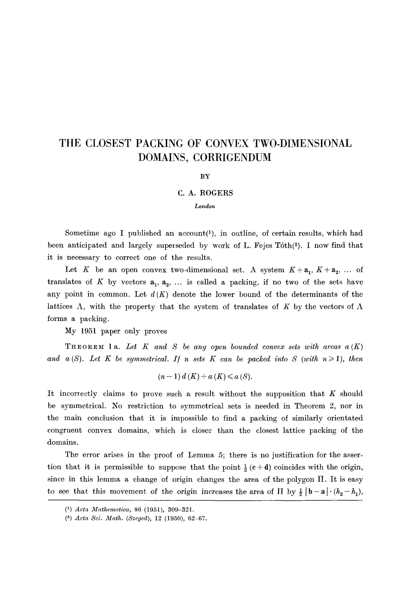## **THE CLOSEST PACKING OF CONVEX TWO-DIMENSIONAL DOMAINS, CORRIGENDUM**

## **BY**

## C. A. ROGERS

## *London*

Sometime ago I published an  $account(1)$ , in outline, of certain results, which had been anticipated and largely superseded by work of L. Fejes T6th(2). I now find that it is necessary to correct one of the results.

Let K be an open convex two-dimensional set. A system  $K + a_1$ ,  $K + a_2$ , ... of translates of K by vectors  $a_1, a_2, \ldots$  is called a packing, if no two of the sets have any point in common. Let  $d(K)$  denote the lower bound of the determinants of the lattices  $\Lambda$ , with the property that the system of translates of K by the vectors of  $\Lambda$ forms a packing.

My 1951 paper only proves

THEOREM 1a. Let  $K$  and  $S$  be any open bounded convex sets with areas  $a(K)$ and a(S). Let K be symmetrical. If n sets K can be packed into S (with  $n \geq 1$ ), then

$$
(n-1) d(K) + a(K) \leq a(S).
$$

It incorrectly claims to prove such a result without the supposition that  $K$  should be symmetrical. No restriction to symmetrical sets is needed in Theorem 2, nor in the main conclusion that it is impossible to find a packing of similarly orientated congruent convex domains, which is closer than the closest lattice packing of the domains.

The error arises in the proof of Lemma 5; there is no justification for the assertion that it is permissible to suppose that the point  $\frac{1}{2} (c + d)$  coincides with the origin, since in this lemma a change of origin changes the area of the polygon  $\Pi$ . It is easy to see that this movement of the origin increases the area of  $\Pi$  by  $\frac{1}{2} |b - a| \cdot (h_2 - h_1)$ ,

<sup>(1)</sup> *Acta Mathematica,* 86 (1951), 309-321.

*<sup>(3)</sup> Acta Sci. Math. (Szeged),* 12 (1950), 62-67.